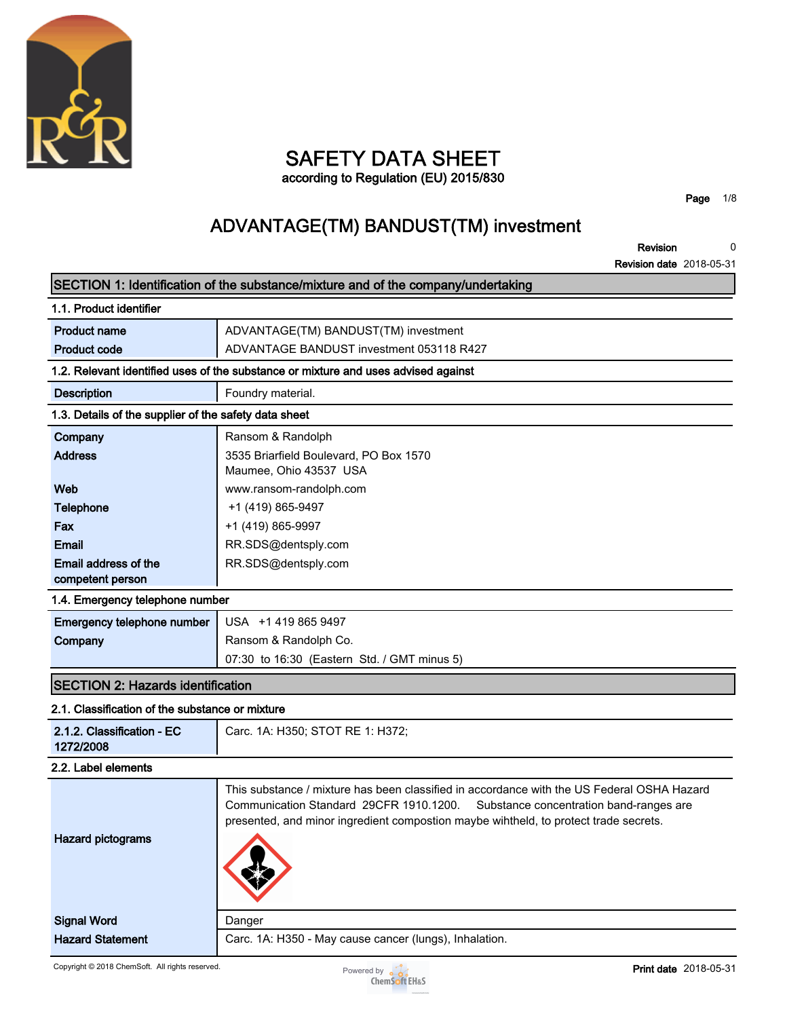

# **SAFETY DATA SHEET**

**according to Regulation (EU) 2015/830**

**Page 1/8**

### **ADVANTAGE(TM) BANDUST(TM) investment**

**Revision 0**

**Revision date 2018-05-31**

|                                                       | SECTION 1: Identification of the substance/mixture and of the company/undertaking                                                                                                                                                                                        |
|-------------------------------------------------------|--------------------------------------------------------------------------------------------------------------------------------------------------------------------------------------------------------------------------------------------------------------------------|
| 1.1. Product identifier                               |                                                                                                                                                                                                                                                                          |
| <b>Product name</b>                                   | ADVANTAGE(TM) BANDUST(TM) investment                                                                                                                                                                                                                                     |
| <b>Product code</b>                                   | ADVANTAGE BANDUST investment 053118 R427                                                                                                                                                                                                                                 |
|                                                       | 1.2. Relevant identified uses of the substance or mixture and uses advised against                                                                                                                                                                                       |
| <b>Description</b>                                    | Foundry material.                                                                                                                                                                                                                                                        |
| 1.3. Details of the supplier of the safety data sheet |                                                                                                                                                                                                                                                                          |
| Company                                               | Ransom & Randolph                                                                                                                                                                                                                                                        |
| <b>Address</b>                                        | 3535 Briarfield Boulevard, PO Box 1570<br>Maumee, Ohio 43537 USA                                                                                                                                                                                                         |
| Web                                                   | www.ransom-randolph.com                                                                                                                                                                                                                                                  |
| <b>Telephone</b>                                      | +1 (419) 865-9497                                                                                                                                                                                                                                                        |
| Fax                                                   | +1 (419) 865-9997                                                                                                                                                                                                                                                        |
| Email                                                 | RR.SDS@dentsply.com                                                                                                                                                                                                                                                      |
| Email address of the<br>competent person              | RR.SDS@dentsply.com                                                                                                                                                                                                                                                      |
| 1.4. Emergency telephone number                       |                                                                                                                                                                                                                                                                          |
| Emergency telephone number                            | USA +1 419 865 9497                                                                                                                                                                                                                                                      |
| Company                                               | Ransom & Randolph Co.                                                                                                                                                                                                                                                    |
|                                                       | 07:30 to 16:30 (Eastern Std. / GMT minus 5)                                                                                                                                                                                                                              |
| <b>SECTION 2: Hazards identification</b>              |                                                                                                                                                                                                                                                                          |
| 2.1. Classification of the substance or mixture       |                                                                                                                                                                                                                                                                          |
| 2.1.2. Classification - EC<br>1272/2008               | Carc. 1A: H350; STOT RE 1: H372;                                                                                                                                                                                                                                         |
| 2.2. Label elements                                   |                                                                                                                                                                                                                                                                          |
| <b>Hazard pictograms</b>                              | This substance / mixture has been classified in accordance with the US Federal OSHA Hazard<br>Communication Standard 29CFR 1910.1200.<br>Substance concentration band-ranges are<br>presented, and minor ingredient compostion maybe wihtheld, to protect trade secrets. |
| <b>Signal Word</b>                                    | Danger                                                                                                                                                                                                                                                                   |
| <b>Hazard Statement</b>                               | Carc. 1A: H350 - May cause cancer (lungs), Inhalation.                                                                                                                                                                                                                   |
|                                                       |                                                                                                                                                                                                                                                                          |

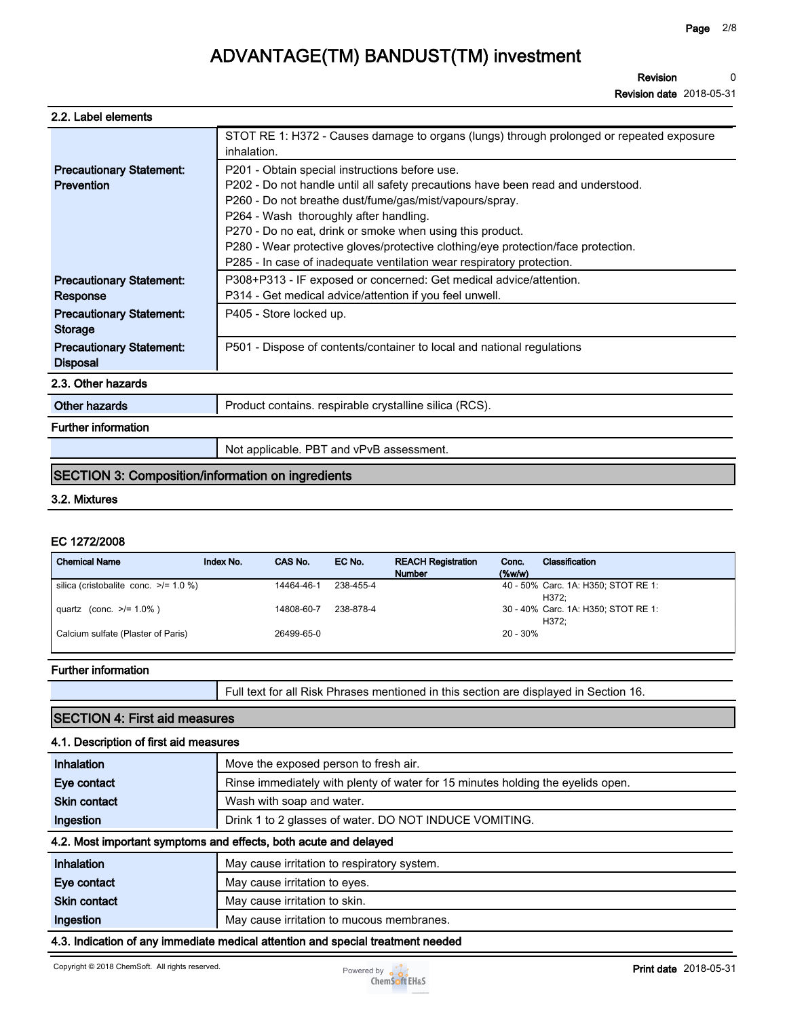**Revision 0**

**Revision date 2018-05-31**

| 2.2. Label elements                                      |                                                                                                         |
|----------------------------------------------------------|---------------------------------------------------------------------------------------------------------|
|                                                          | STOT RE 1: H372 - Causes damage to organs (lungs) through prolonged or repeated exposure<br>inhalation. |
| <b>Precautionary Statement:</b>                          | P201 - Obtain special instructions before use.                                                          |
| Prevention                                               | P202 - Do not handle until all safety precautions have been read and understood.                        |
|                                                          | P260 - Do not breathe dust/fume/gas/mist/vapours/spray.                                                 |
|                                                          | P264 - Wash thoroughly after handling.                                                                  |
|                                                          | P270 - Do no eat, drink or smoke when using this product.                                               |
|                                                          | P280 - Wear protective gloves/protective clothing/eye protection/face protection.                       |
|                                                          | P285 - In case of inadequate ventilation wear respiratory protection.                                   |
| <b>Precautionary Statement:</b>                          | P308+P313 - IF exposed or concerned: Get medical advice/attention.                                      |
| Response                                                 | P314 - Get medical advice/attention if you feel unwell.                                                 |
| <b>Precautionary Statement:</b><br><b>Storage</b>        | P405 - Store locked up.                                                                                 |
| <b>Precautionary Statement:</b><br><b>Disposal</b>       | P501 - Dispose of contents/container to local and national regulations                                  |
| 2.3. Other hazards                                       |                                                                                                         |
| Other hazards                                            | Product contains. respirable crystalline silica (RCS).                                                  |
| <b>Further information</b>                               |                                                                                                         |
|                                                          | Not applicable. PBT and vPvB assessment.                                                                |
| <b>SECTION 3: Composition/information on ingredients</b> |                                                                                                         |

#### **3.2. Mixtures**

#### **EC 1272/2008**

| <b>Chemical Name</b>                       | Index No. | CAS No.    | EC No.    | <b>REACH Registration</b><br><b>Number</b> | Conc.<br>(% | Classification                               |
|--------------------------------------------|-----------|------------|-----------|--------------------------------------------|-------------|----------------------------------------------|
| silica (cristobalite conc. $\ge$ /= 1.0 %) |           | 14464-46-1 | 238-455-4 |                                            |             | 40 - 50% Carc. 1A: H350; STOT RE 1:<br>H372: |
| quartz (conc. $>1.0\%$ )                   |           | 14808-60-7 | 238-878-4 |                                            |             | 30 - 40% Carc. 1A: H350; STOT RE 1:<br>H372: |
| Calcium sulfate (Plaster of Paris)         |           | 26499-65-0 |           |                                            | 20 - 30%    |                                              |

#### **Further information**

**Full text for all Risk Phrases mentioned in this section are displayed in Section 16.**

### **SECTION 4: First aid measures**

#### **4.1. Description of first aid measures**

| Inhalation          | Move the exposed person to fresh air.                                           |
|---------------------|---------------------------------------------------------------------------------|
| Eye contact         | Rinse immediately with plenty of water for 15 minutes holding the eyelids open. |
| <b>Skin contact</b> | Wash with soap and water.                                                       |
| Ingestion           | Drink 1 to 2 glasses of water. DO NOT INDUCE VOMITING.                          |
|                     |                                                                                 |

#### **4.2. Most important symptoms and effects, both acute and delayed**

| Inhalation          | May cause irritation to respiratory system. |
|---------------------|---------------------------------------------|
| Eye contact         | May cause irritation to eyes.               |
| <b>Skin contact</b> | May cause irritation to skin.               |
| Ingestion           | May cause irritation to mucous membranes.   |
| .                   | .                                           |

**4.3. Indication of any immediate medical attention and special treatment needed**

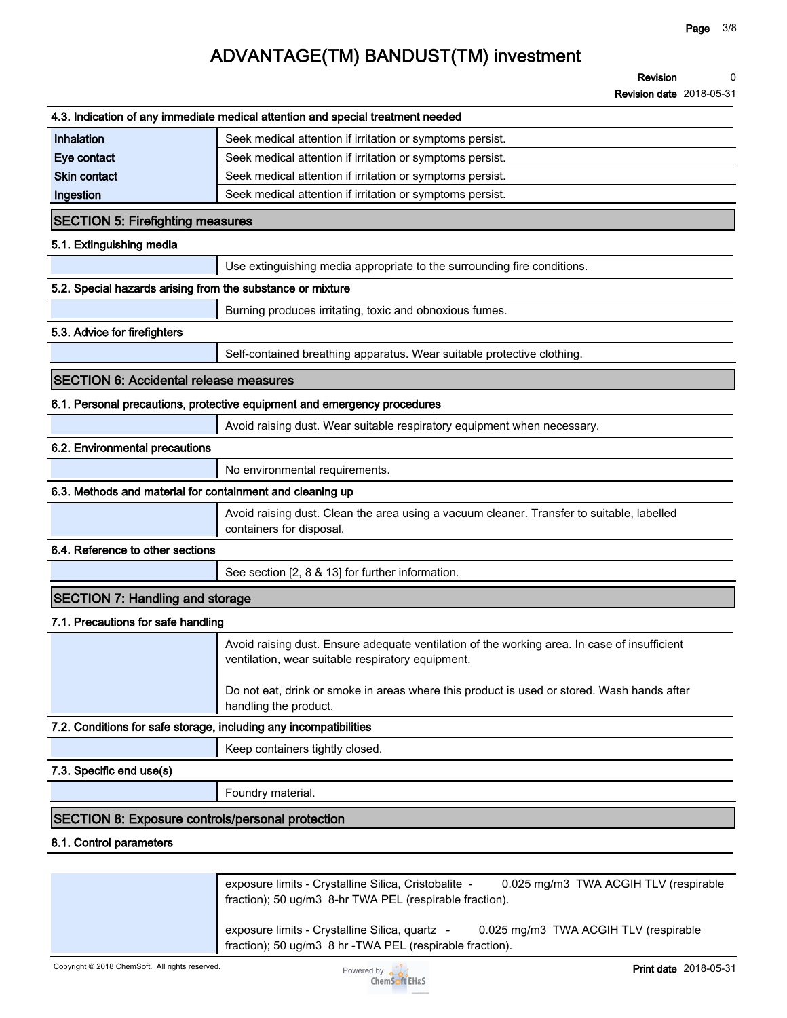**Revision 0**

**Revision date 2018-05-31**

|                                                                   | 4.3. Indication of any immediate medical attention and special treatment needed                                                                   |
|-------------------------------------------------------------------|---------------------------------------------------------------------------------------------------------------------------------------------------|
| Inhalation                                                        | Seek medical attention if irritation or symptoms persist.                                                                                         |
| Eye contact                                                       | Seek medical attention if irritation or symptoms persist.                                                                                         |
| <b>Skin contact</b>                                               | Seek medical attention if irritation or symptoms persist.                                                                                         |
| Ingestion                                                         | Seek medical attention if irritation or symptoms persist.                                                                                         |
| <b>SECTION 5: Firefighting measures</b>                           |                                                                                                                                                   |
| 5.1. Extinguishing media                                          |                                                                                                                                                   |
|                                                                   | Use extinguishing media appropriate to the surrounding fire conditions.                                                                           |
| 5.2. Special hazards arising from the substance or mixture        |                                                                                                                                                   |
|                                                                   | Burning produces irritating, toxic and obnoxious fumes.                                                                                           |
| 5.3. Advice for firefighters                                      |                                                                                                                                                   |
|                                                                   | Self-contained breathing apparatus. Wear suitable protective clothing.                                                                            |
| <b>SECTION 6: Accidental release measures</b>                     |                                                                                                                                                   |
|                                                                   | 6.1. Personal precautions, protective equipment and emergency procedures                                                                          |
|                                                                   | Avoid raising dust. Wear suitable respiratory equipment when necessary.                                                                           |
| 6.2. Environmental precautions                                    |                                                                                                                                                   |
|                                                                   | No environmental requirements.                                                                                                                    |
| 6.3. Methods and material for containment and cleaning up         |                                                                                                                                                   |
|                                                                   | Avoid raising dust. Clean the area using a vacuum cleaner. Transfer to suitable, labelled<br>containers for disposal.                             |
| 6.4. Reference to other sections                                  |                                                                                                                                                   |
|                                                                   | See section [2, 8 & 13] for further information.                                                                                                  |
| <b>SECTION 7: Handling and storage</b>                            |                                                                                                                                                   |
| 7.1. Precautions for safe handling                                |                                                                                                                                                   |
|                                                                   | Avoid raising dust. Ensure adequate ventilation of the working area. In case of insufficient<br>ventilation, wear suitable respiratory equipment. |
|                                                                   | Do not eat, drink or smoke in areas where this product is used or stored. Wash hands after<br>handling the product.                               |
| 7.2. Conditions for safe storage, including any incompatibilities |                                                                                                                                                   |
|                                                                   | Keep containers tightly closed.                                                                                                                   |
| 7.3. Specific end use(s)                                          |                                                                                                                                                   |
|                                                                   | Foundry material.                                                                                                                                 |
| <b>SECTION 8: Exposure controls/personal protection</b>           |                                                                                                                                                   |
| 8.1. Control parameters                                           |                                                                                                                                                   |
|                                                                   |                                                                                                                                                   |
|                                                                   | exposure limits - Crystalline Silica, Cristobalite -<br>0.025 mg/m3 TWA ACGIH TLV (respirable                                                     |

**fraction); 50 ug/m3 8-hr TWA PEL (respirable fraction).**

**exposure limits - Crystalline Silica, quartz - 0.025 mg/m3 TWA ACGIH TLV (respirable fraction); 50 ug/m3 8 hr -TWA PEL (respirable fraction).**

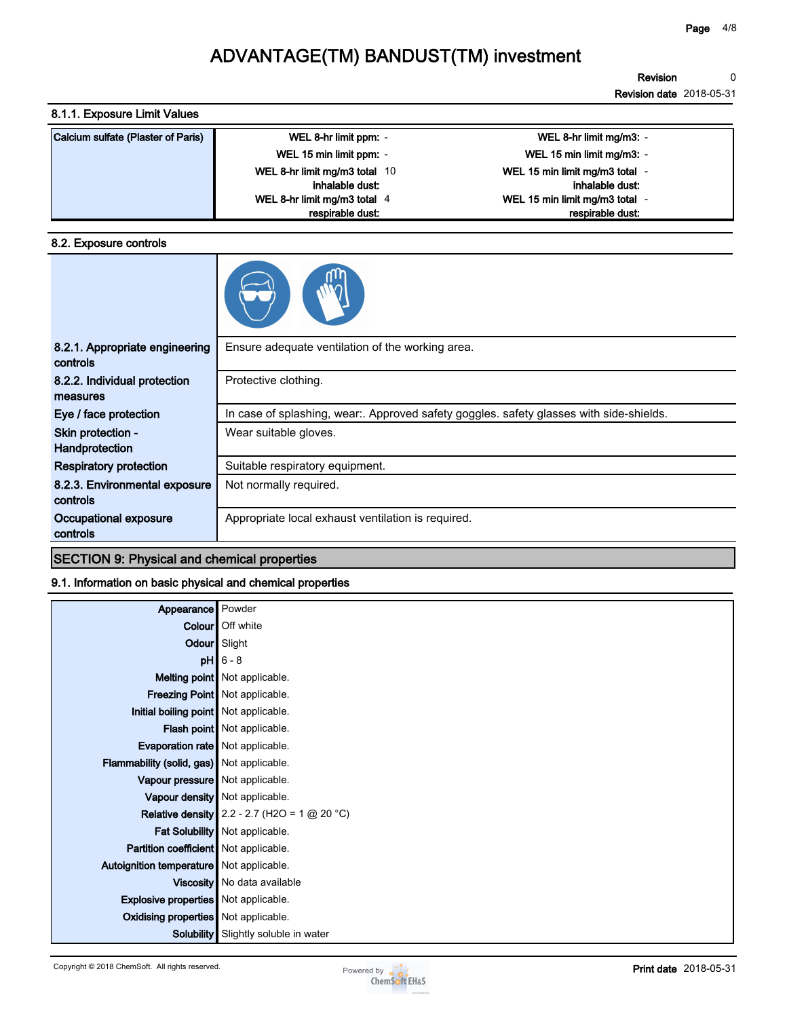**Revision 0**

**Revision date 2018-05-31**

### **8.1.1. Exposure Limit Values**

| Calcium sulfate (Plaster of Paris) | WEL 8-hr limit ppm: -         | WEL 8-hr limit mg/m3: -        |
|------------------------------------|-------------------------------|--------------------------------|
|                                    | WEL 15 min limit ppm: -       | WEL 15 min limit mg/m3: -      |
|                                    | WEL 8-hr limit mg/m3 total 10 | WEL 15 min limit mg/m3 total - |
|                                    | inhalable dust:               | inhalable dust:                |
|                                    | WEL 8-hr limit mg/m3 total 4  | WEL 15 min limit mg/m3 total - |
|                                    | respirable dust:              | respirable dust:               |

#### **8.2. Exposure controls**

| 8.2.1. Appropriate engineering<br>controls | Ensure adequate ventilation of the working area.                                        |
|--------------------------------------------|-----------------------------------------------------------------------------------------|
| 8.2.2. Individual protection<br>measures   | Protective clothing.                                                                    |
| Eye / face protection                      | In case of splashing, wear:. Approved safety goggles. safety glasses with side-shields. |
| Skin protection -<br>Handprotection        | Wear suitable gloves.                                                                   |
| <b>Respiratory protection</b>              | Suitable respiratory equipment.                                                         |
| 8.2.3. Environmental exposure<br>controls  | Not normally required.                                                                  |
| Occupational exposure<br>controls          | Appropriate local exhaust ventilation is required.                                      |

### **SECTION 9: Physical and chemical properties**

#### **9.1. Information on basic physical and chemical properties**

| Appearance                                  | Powder                                                |
|---------------------------------------------|-------------------------------------------------------|
|                                             | Colour   Off white                                    |
|                                             | Odour Slight                                          |
|                                             | $pH$ 6 - 8                                            |
|                                             | Melting point Not applicable.                         |
|                                             | Freezing Point Not applicable.                        |
| Initial boiling point Not applicable.       |                                                       |
|                                             | <b>Flash point</b> Not applicable.                    |
| <b>Evaporation rate</b> Not applicable.     |                                                       |
| Flammability (solid, gas) Not applicable.   |                                                       |
| Vapour pressure Not applicable.             |                                                       |
|                                             | Vapour density   Not applicable.                      |
|                                             | <b>Relative density</b> 2.2 - 2.7 (H2O = 1 $@$ 20 °C) |
|                                             | Fat Solubility Not applicable.                        |
| Partition coefficient Not applicable.       |                                                       |
| Autoignition temperature Not applicable.    |                                                       |
|                                             | Viscosity   No data available                         |
| <b>Explosive properties</b> Not applicable. |                                                       |
| Oxidising properties Not applicable.        |                                                       |
| Solubility                                  | Slightly soluble in water                             |
|                                             |                                                       |

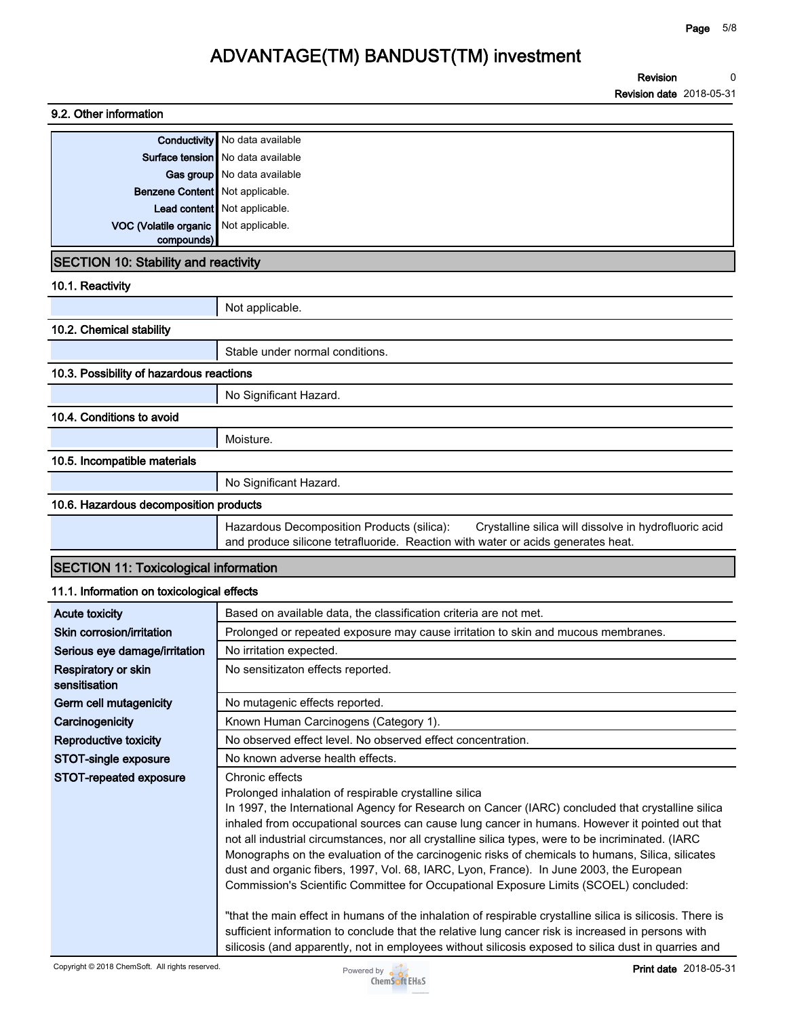| 9.2. Other information                       |                                                                                                                                                                                                                                                                                                                                                                                                                                                                                                                                                                                                                                                                                                                                                                                                                                                                                                  |
|----------------------------------------------|--------------------------------------------------------------------------------------------------------------------------------------------------------------------------------------------------------------------------------------------------------------------------------------------------------------------------------------------------------------------------------------------------------------------------------------------------------------------------------------------------------------------------------------------------------------------------------------------------------------------------------------------------------------------------------------------------------------------------------------------------------------------------------------------------------------------------------------------------------------------------------------------------|
|                                              | <b>Conductivity</b> No data available                                                                                                                                                                                                                                                                                                                                                                                                                                                                                                                                                                                                                                                                                                                                                                                                                                                            |
|                                              | <b>Surface tension</b> No data available                                                                                                                                                                                                                                                                                                                                                                                                                                                                                                                                                                                                                                                                                                                                                                                                                                                         |
|                                              | Gas group No data available                                                                                                                                                                                                                                                                                                                                                                                                                                                                                                                                                                                                                                                                                                                                                                                                                                                                      |
| Benzene Content   Not applicable.            |                                                                                                                                                                                                                                                                                                                                                                                                                                                                                                                                                                                                                                                                                                                                                                                                                                                                                                  |
|                                              | Lead content Not applicable.                                                                                                                                                                                                                                                                                                                                                                                                                                                                                                                                                                                                                                                                                                                                                                                                                                                                     |
| VOC (Volatile organic                        | Not applicable.                                                                                                                                                                                                                                                                                                                                                                                                                                                                                                                                                                                                                                                                                                                                                                                                                                                                                  |
| compounds)                                   |                                                                                                                                                                                                                                                                                                                                                                                                                                                                                                                                                                                                                                                                                                                                                                                                                                                                                                  |
| <b>SECTION 10: Stability and reactivity</b>  |                                                                                                                                                                                                                                                                                                                                                                                                                                                                                                                                                                                                                                                                                                                                                                                                                                                                                                  |
| 10.1. Reactivity                             |                                                                                                                                                                                                                                                                                                                                                                                                                                                                                                                                                                                                                                                                                                                                                                                                                                                                                                  |
|                                              | Not applicable.                                                                                                                                                                                                                                                                                                                                                                                                                                                                                                                                                                                                                                                                                                                                                                                                                                                                                  |
| 10.2. Chemical stability                     |                                                                                                                                                                                                                                                                                                                                                                                                                                                                                                                                                                                                                                                                                                                                                                                                                                                                                                  |
|                                              | Stable under normal conditions.                                                                                                                                                                                                                                                                                                                                                                                                                                                                                                                                                                                                                                                                                                                                                                                                                                                                  |
| 10.3. Possibility of hazardous reactions     |                                                                                                                                                                                                                                                                                                                                                                                                                                                                                                                                                                                                                                                                                                                                                                                                                                                                                                  |
|                                              | No Significant Hazard.                                                                                                                                                                                                                                                                                                                                                                                                                                                                                                                                                                                                                                                                                                                                                                                                                                                                           |
| 10.4. Conditions to avoid                    |                                                                                                                                                                                                                                                                                                                                                                                                                                                                                                                                                                                                                                                                                                                                                                                                                                                                                                  |
|                                              | Moisture.                                                                                                                                                                                                                                                                                                                                                                                                                                                                                                                                                                                                                                                                                                                                                                                                                                                                                        |
| 10.5. Incompatible materials                 |                                                                                                                                                                                                                                                                                                                                                                                                                                                                                                                                                                                                                                                                                                                                                                                                                                                                                                  |
|                                              | No Significant Hazard.                                                                                                                                                                                                                                                                                                                                                                                                                                                                                                                                                                                                                                                                                                                                                                                                                                                                           |
| 10.6. Hazardous decomposition products       |                                                                                                                                                                                                                                                                                                                                                                                                                                                                                                                                                                                                                                                                                                                                                                                                                                                                                                  |
|                                              | Hazardous Decomposition Products (silica):<br>Crystalline silica will dissolve in hydrofluoric acid<br>and produce silicone tetrafluoride. Reaction with water or acids generates heat.                                                                                                                                                                                                                                                                                                                                                                                                                                                                                                                                                                                                                                                                                                          |
| <b>SECTION 11: Toxicological information</b> |                                                                                                                                                                                                                                                                                                                                                                                                                                                                                                                                                                                                                                                                                                                                                                                                                                                                                                  |
| 11.1. Information on toxicological effects   |                                                                                                                                                                                                                                                                                                                                                                                                                                                                                                                                                                                                                                                                                                                                                                                                                                                                                                  |
| <b>Acute toxicity</b>                        | Based on available data, the classification criteria are not met.                                                                                                                                                                                                                                                                                                                                                                                                                                                                                                                                                                                                                                                                                                                                                                                                                                |
| Skin corrosion/irritation                    | Prolonged or repeated exposure may cause irritation to skin and mucous membranes.                                                                                                                                                                                                                                                                                                                                                                                                                                                                                                                                                                                                                                                                                                                                                                                                                |
| Serious eye damage/irritation                | No irritation expected.                                                                                                                                                                                                                                                                                                                                                                                                                                                                                                                                                                                                                                                                                                                                                                                                                                                                          |
| Respiratory or skin<br>sensitisation         | No sensitizaton effects reported.                                                                                                                                                                                                                                                                                                                                                                                                                                                                                                                                                                                                                                                                                                                                                                                                                                                                |
| Germ cell mutagenicity                       | No mutagenic effects reported.                                                                                                                                                                                                                                                                                                                                                                                                                                                                                                                                                                                                                                                                                                                                                                                                                                                                   |
| Carcinogenicity                              | Known Human Carcinogens (Category 1).                                                                                                                                                                                                                                                                                                                                                                                                                                                                                                                                                                                                                                                                                                                                                                                                                                                            |
| <b>Reproductive toxicity</b>                 | No observed effect level. No observed effect concentration.                                                                                                                                                                                                                                                                                                                                                                                                                                                                                                                                                                                                                                                                                                                                                                                                                                      |
| STOT-single exposure                         | No known adverse health effects.                                                                                                                                                                                                                                                                                                                                                                                                                                                                                                                                                                                                                                                                                                                                                                                                                                                                 |
| STOT-repeated exposure                       | Chronic effects<br>Prolonged inhalation of respirable crystalline silica<br>In 1997, the International Agency for Research on Cancer (IARC) concluded that crystalline silica<br>inhaled from occupational sources can cause lung cancer in humans. However it pointed out that<br>not all industrial circumstances, nor all crystalline silica types, were to be incriminated. (IARC<br>Monographs on the evaluation of the carcinogenic risks of chemicals to humans, Silica, silicates<br>dust and organic fibers, 1997, Vol. 68, IARC, Lyon, France). In June 2003, the European<br>Commission's Scientific Committee for Occupational Exposure Limits (SCOEL) concluded:<br>"that the main effect in humans of the inhalation of respirable crystalline silica is silicosis. There is<br>sufficient information to conclude that the relative lung cancer risk is increased in persons with |
|                                              | silicosis (and apparently, not in employees without silicosis exposed to silica dust in quarries and                                                                                                                                                                                                                                                                                                                                                                                                                                                                                                                                                                                                                                                                                                                                                                                             |

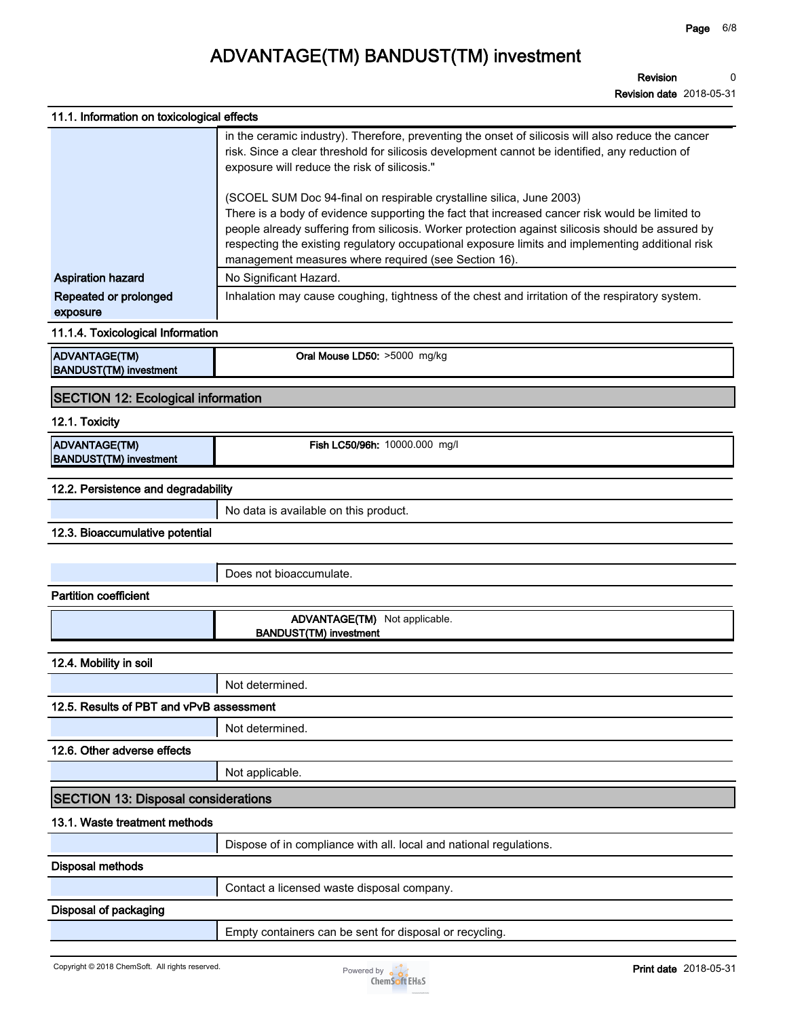**Revision date 2018-05-31**

| 11.1. Information on toxicological effects            |                                                                                                                                                                                                                                                                                                                                                                                                                                         |
|-------------------------------------------------------|-----------------------------------------------------------------------------------------------------------------------------------------------------------------------------------------------------------------------------------------------------------------------------------------------------------------------------------------------------------------------------------------------------------------------------------------|
|                                                       | in the ceramic industry). Therefore, preventing the onset of silicosis will also reduce the cancer<br>risk. Since a clear threshold for silicosis development cannot be identified, any reduction of<br>exposure will reduce the risk of silicosis."                                                                                                                                                                                    |
|                                                       | (SCOEL SUM Doc 94-final on respirable crystalline silica, June 2003)<br>There is a body of evidence supporting the fact that increased cancer risk would be limited to<br>people already suffering from silicosis. Worker protection against silicosis should be assured by<br>respecting the existing regulatory occupational exposure limits and implementing additional risk<br>management measures where required (see Section 16). |
| <b>Aspiration hazard</b>                              | No Significant Hazard.                                                                                                                                                                                                                                                                                                                                                                                                                  |
| Repeated or prolonged<br>exposure                     | Inhalation may cause coughing, tightness of the chest and irritation of the respiratory system.                                                                                                                                                                                                                                                                                                                                         |
| 11.1.4. Toxicological Information                     |                                                                                                                                                                                                                                                                                                                                                                                                                                         |
| <b>ADVANTAGE(TM)</b><br><b>BANDUST(TM) investment</b> | Oral Mouse LD50: >5000 mg/kg                                                                                                                                                                                                                                                                                                                                                                                                            |
| <b>SECTION 12: Ecological information</b>             |                                                                                                                                                                                                                                                                                                                                                                                                                                         |
| 12.1. Toxicity                                        |                                                                                                                                                                                                                                                                                                                                                                                                                                         |
| <b>ADVANTAGE(TM)</b><br><b>BANDUST(TM)</b> investment | Fish LC50/96h: 10000.000 mg/l                                                                                                                                                                                                                                                                                                                                                                                                           |
| 12.2. Persistence and degradability                   |                                                                                                                                                                                                                                                                                                                                                                                                                                         |
|                                                       | No data is available on this product.                                                                                                                                                                                                                                                                                                                                                                                                   |
| 12.3. Bioaccumulative potential                       |                                                                                                                                                                                                                                                                                                                                                                                                                                         |
|                                                       |                                                                                                                                                                                                                                                                                                                                                                                                                                         |
|                                                       | Does not bioaccumulate.                                                                                                                                                                                                                                                                                                                                                                                                                 |
| <b>Partition coefficient</b>                          |                                                                                                                                                                                                                                                                                                                                                                                                                                         |
|                                                       | ADVANTAGE(TM) Not applicable.<br><b>BANDUST(TM) investment</b>                                                                                                                                                                                                                                                                                                                                                                          |
| 12.4. Mobility in soil                                |                                                                                                                                                                                                                                                                                                                                                                                                                                         |
|                                                       | Not determined.                                                                                                                                                                                                                                                                                                                                                                                                                         |
| 12.5. Results of PBT and vPvB assessment              |                                                                                                                                                                                                                                                                                                                                                                                                                                         |
|                                                       | Not determined.                                                                                                                                                                                                                                                                                                                                                                                                                         |
| 12.6. Other adverse effects                           |                                                                                                                                                                                                                                                                                                                                                                                                                                         |
|                                                       | Not applicable.                                                                                                                                                                                                                                                                                                                                                                                                                         |
| <b>SECTION 13: Disposal considerations</b>            |                                                                                                                                                                                                                                                                                                                                                                                                                                         |
| 13.1. Waste treatment methods                         |                                                                                                                                                                                                                                                                                                                                                                                                                                         |
|                                                       | Dispose of in compliance with all. local and national regulations.                                                                                                                                                                                                                                                                                                                                                                      |
| <b>Disposal methods</b>                               |                                                                                                                                                                                                                                                                                                                                                                                                                                         |
|                                                       | Contact a licensed waste disposal company.                                                                                                                                                                                                                                                                                                                                                                                              |
| Disposal of packaging                                 |                                                                                                                                                                                                                                                                                                                                                                                                                                         |
|                                                       | Empty containers can be sent for disposal or recycling.                                                                                                                                                                                                                                                                                                                                                                                 |

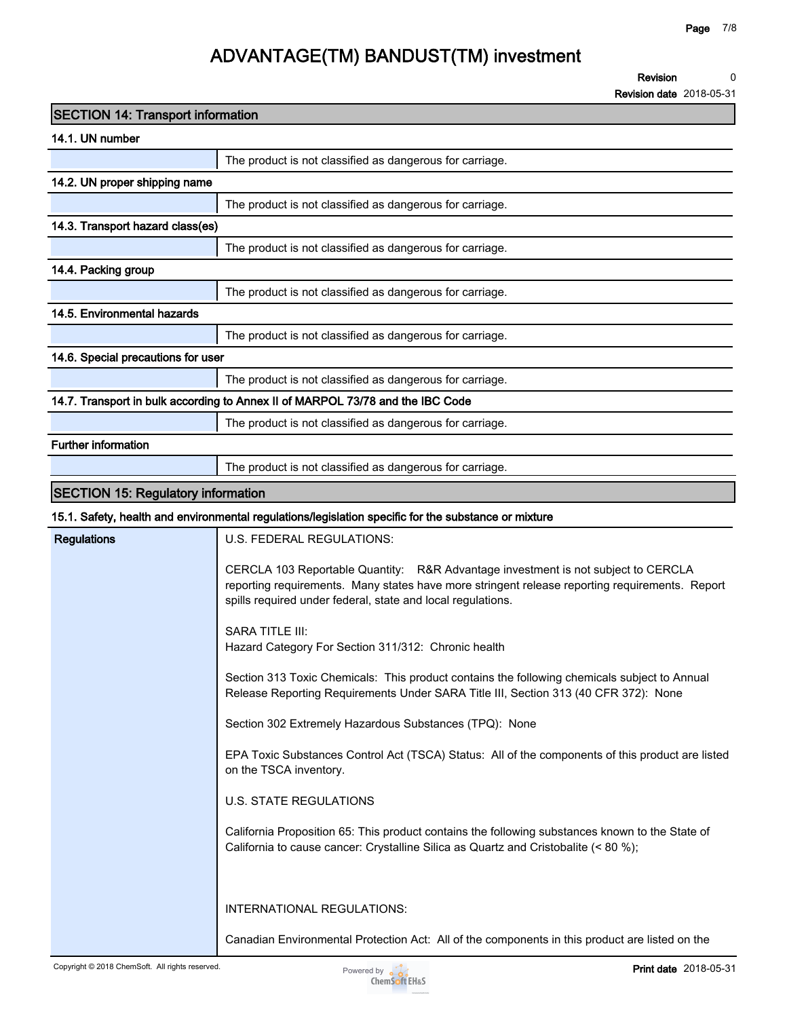**Revision date 2018-05-31**

| <b>SECTION 14: Transport information</b>  |                                                                                                                                                                                                                                                                                                                                                                                                                                                                                                                                                                                                                                                                                                                                                                                                                                                                                                                                               |
|-------------------------------------------|-----------------------------------------------------------------------------------------------------------------------------------------------------------------------------------------------------------------------------------------------------------------------------------------------------------------------------------------------------------------------------------------------------------------------------------------------------------------------------------------------------------------------------------------------------------------------------------------------------------------------------------------------------------------------------------------------------------------------------------------------------------------------------------------------------------------------------------------------------------------------------------------------------------------------------------------------|
| 14.1. UN number                           |                                                                                                                                                                                                                                                                                                                                                                                                                                                                                                                                                                                                                                                                                                                                                                                                                                                                                                                                               |
|                                           | The product is not classified as dangerous for carriage.                                                                                                                                                                                                                                                                                                                                                                                                                                                                                                                                                                                                                                                                                                                                                                                                                                                                                      |
| 14.2. UN proper shipping name             |                                                                                                                                                                                                                                                                                                                                                                                                                                                                                                                                                                                                                                                                                                                                                                                                                                                                                                                                               |
|                                           | The product is not classified as dangerous for carriage.                                                                                                                                                                                                                                                                                                                                                                                                                                                                                                                                                                                                                                                                                                                                                                                                                                                                                      |
| 14.3. Transport hazard class(es)          |                                                                                                                                                                                                                                                                                                                                                                                                                                                                                                                                                                                                                                                                                                                                                                                                                                                                                                                                               |
|                                           | The product is not classified as dangerous for carriage.                                                                                                                                                                                                                                                                                                                                                                                                                                                                                                                                                                                                                                                                                                                                                                                                                                                                                      |
| 14.4. Packing group                       |                                                                                                                                                                                                                                                                                                                                                                                                                                                                                                                                                                                                                                                                                                                                                                                                                                                                                                                                               |
|                                           | The product is not classified as dangerous for carriage.                                                                                                                                                                                                                                                                                                                                                                                                                                                                                                                                                                                                                                                                                                                                                                                                                                                                                      |
| 14.5. Environmental hazards               |                                                                                                                                                                                                                                                                                                                                                                                                                                                                                                                                                                                                                                                                                                                                                                                                                                                                                                                                               |
|                                           | The product is not classified as dangerous for carriage.                                                                                                                                                                                                                                                                                                                                                                                                                                                                                                                                                                                                                                                                                                                                                                                                                                                                                      |
| 14.6. Special precautions for user        |                                                                                                                                                                                                                                                                                                                                                                                                                                                                                                                                                                                                                                                                                                                                                                                                                                                                                                                                               |
|                                           | The product is not classified as dangerous for carriage.                                                                                                                                                                                                                                                                                                                                                                                                                                                                                                                                                                                                                                                                                                                                                                                                                                                                                      |
|                                           | 14.7. Transport in bulk according to Annex II of MARPOL 73/78 and the IBC Code                                                                                                                                                                                                                                                                                                                                                                                                                                                                                                                                                                                                                                                                                                                                                                                                                                                                |
|                                           | The product is not classified as dangerous for carriage.                                                                                                                                                                                                                                                                                                                                                                                                                                                                                                                                                                                                                                                                                                                                                                                                                                                                                      |
| <b>Further information</b>                |                                                                                                                                                                                                                                                                                                                                                                                                                                                                                                                                                                                                                                                                                                                                                                                                                                                                                                                                               |
|                                           | The product is not classified as dangerous for carriage.                                                                                                                                                                                                                                                                                                                                                                                                                                                                                                                                                                                                                                                                                                                                                                                                                                                                                      |
| <b>SECTION 15: Regulatory information</b> |                                                                                                                                                                                                                                                                                                                                                                                                                                                                                                                                                                                                                                                                                                                                                                                                                                                                                                                                               |
|                                           | 15.1. Safety, health and environmental regulations/legislation specific for the substance or mixture                                                                                                                                                                                                                                                                                                                                                                                                                                                                                                                                                                                                                                                                                                                                                                                                                                          |
| <b>Regulations</b>                        | U.S. FEDERAL REGULATIONS:                                                                                                                                                                                                                                                                                                                                                                                                                                                                                                                                                                                                                                                                                                                                                                                                                                                                                                                     |
|                                           | CERCLA 103 Reportable Quantity: R&R Advantage investment is not subject to CERCLA<br>reporting requirements. Many states have more stringent release reporting requirements. Report<br>spills required under federal, state and local regulations.<br><b>SARA TITLE III:</b><br>Hazard Category For Section 311/312: Chronic health<br>Section 313 Toxic Chemicals: This product contains the following chemicals subject to Annual<br>Release Reporting Requirements Under SARA Title III, Section 313 (40 CFR 372): None<br>Section 302 Extremely Hazardous Substances (TPQ): None<br>EPA Toxic Substances Control Act (TSCA) Status: All of the components of this product are listed<br>on the TSCA inventory.<br><b>U.S. STATE REGULATIONS</b><br>California Proposition 65: This product contains the following substances known to the State of<br>California to cause cancer: Crystalline Silica as Quartz and Cristobalite (< 80 %); |
|                                           | INTERNATIONAL REGULATIONS:                                                                                                                                                                                                                                                                                                                                                                                                                                                                                                                                                                                                                                                                                                                                                                                                                                                                                                                    |
|                                           | Canadian Environmental Protection Act: All of the components in this product are listed on the                                                                                                                                                                                                                                                                                                                                                                                                                                                                                                                                                                                                                                                                                                                                                                                                                                                |